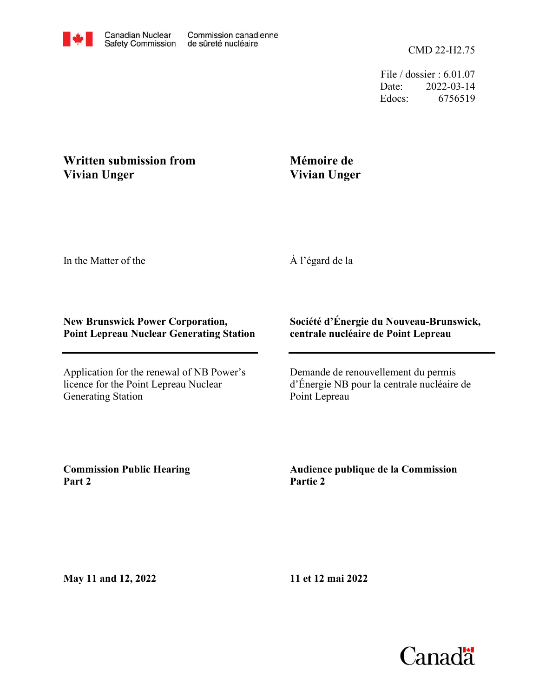File / dossier : 6.01.07 Date: 2022-03-14 Edocs: 6756519

## **Written submission from Vivian Unger**

## **Mémoire de Vivian Unger**

In the Matter of the

À l'égard de la

## **New Brunswick Power Corporation, Point Lepreau Nuclear Generating Station**

Application for the renewal of NB Power's licence for the Point Lepreau Nuclear Generating Station

## **Société d'Énergie du Nouveau-Brunswick, centrale nucléaire de Point Lepreau**

Demande de renouvellement du permis d'Énergie NB pour la centrale nucléaire de Point Lepreau

**Commission Public Hearing Part 2**

**Audience publique de la Commission Partie 2**

**May 11 and 12, 2022**

**11 et 12 mai 2022**